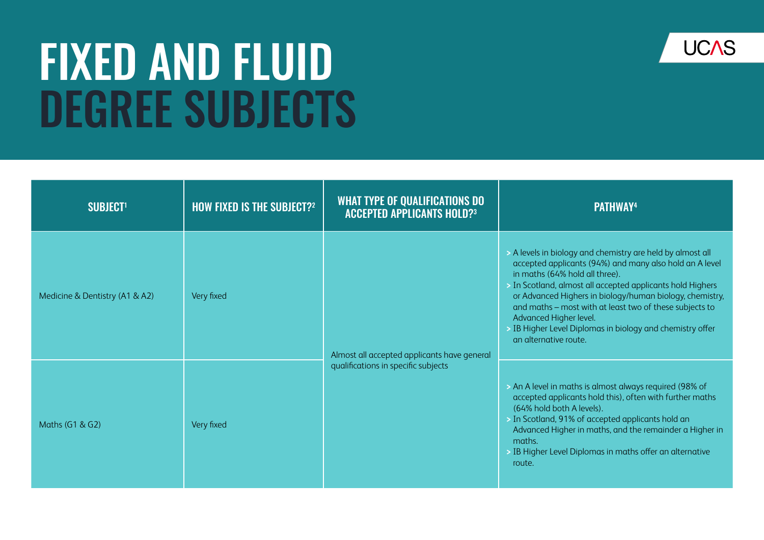## FIXED AND FLUID DEGREE SUBJECTS



| <b>SUBJECT1</b>                | <b>HOW FIXED IS THE SUBJECT?2</b> | <b>WHAT TYPE OF QUALIFICATIONS DO</b><br><b>ACCEPTED APPLICANTS HOLD?3</b>         | <b>PATHWAY4</b>                                                                                                                                                                                                                                                                                                                                                                                                                                              |
|--------------------------------|-----------------------------------|------------------------------------------------------------------------------------|--------------------------------------------------------------------------------------------------------------------------------------------------------------------------------------------------------------------------------------------------------------------------------------------------------------------------------------------------------------------------------------------------------------------------------------------------------------|
| Medicine & Dentistry (A1 & A2) | Very fixed                        | Almost all accepted applicants have general<br>qualifications in specific subjects | > A levels in biology and chemistry are held by almost all<br>accepted applicants (94%) and many also hold an A level<br>in maths (64% hold all three).<br>> In Scotland, almost all accepted applicants hold Highers<br>or Advanced Highers in biology/human biology, chemistry,<br>and maths - most with at least two of these subjects to<br>Advanced Higher level.<br>> IB Higher Level Diplomas in biology and chemistry offer<br>an alternative route. |
| Maths (G1 & G2)                | Very fixed                        |                                                                                    | > An A level in maths is almost always required (98% of<br>accepted applicants hold this), often with further maths<br>(64% hold both A levels).<br>> In Scotland, 91% of accepted applicants hold an<br>Advanced Higher in maths, and the remainder a Higher in<br>maths.<br>> IB Higher Level Diplomas in maths offer an alternative<br>route.                                                                                                             |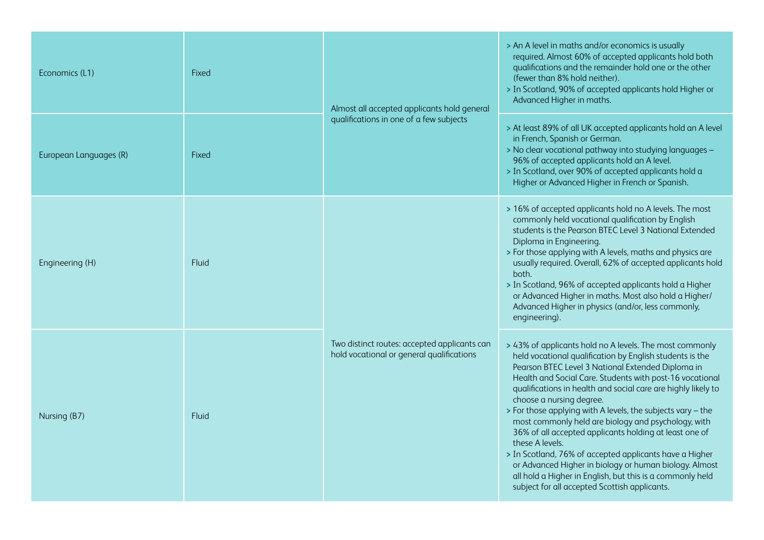| Economics (L1)         | Fixed        | Almost all accepted applicants hold general<br>qualifications in one of a few subjects    | > An A level in maths and/or economics is usually<br>required. Almost 60% of accepted applicants hold both<br>qualifications and the remainder hold one or the other<br>(fewer than 8% hold neither).<br>> In Scotland, 90% of accepted applicants hold Higher or<br>Advanced Higher in maths.                                                                                                                                                                                                                                                                                                                                                                                                                                                                          |
|------------------------|--------------|-------------------------------------------------------------------------------------------|-------------------------------------------------------------------------------------------------------------------------------------------------------------------------------------------------------------------------------------------------------------------------------------------------------------------------------------------------------------------------------------------------------------------------------------------------------------------------------------------------------------------------------------------------------------------------------------------------------------------------------------------------------------------------------------------------------------------------------------------------------------------------|
| European Languages (R) | <b>Fixed</b> |                                                                                           | > At least 89% of all UK accepted applicants hold an A level<br>in French, Spanish or German.<br>> No clear vocational pathway into studying languages -<br>96% of accepted applicants hold an A level.<br>> In Scotland, over 90% of accepted applicants hold a<br>Higher or Advanced Higher in French or Spanish.                                                                                                                                                                                                                                                                                                                                                                                                                                                     |
| Engineering (H)        | Fluid        | Two distinct routes: accepted applicants can<br>hold vocational or general qualifications | > 16% of accepted applicants hold no A levels. The most<br>commonly held vocational qualification by English<br>students is the Pearson BTEC Level 3 National Extended<br>Diploma in Engineering.<br>> For those applying with A levels, maths and physics are<br>usually required. Overall, 62% of accepted applicants hold<br>both.<br>> In Scotland, 96% of accepted applicants hold a Higher<br>or Advanced Higher in maths. Most also hold a Higher/<br>Advanced Higher in physics (and/or, less commonly,<br>engineering).                                                                                                                                                                                                                                        |
| Nursing (B7)           | Fluid        |                                                                                           | > 43% of applicants hold no A levels. The most commonly<br>held vocational qualification by English students is the<br>Pearson BTEC Level 3 National Extended Diploma in<br>Health and Social Care. Students with post-16 vocational<br>qualifications in health and social care are highly likely to<br>choose a nursing degree.<br>> For those applying with A levels, the subjects vary - the<br>most commonly held are biology and psychology, with<br>36% of all accepted applicants holding at least one of<br>these A levels.<br>> In Scotland, 76% of accepted applicants have a Higher<br>or Advanced Higher in biology or human biology. Almost<br>all hold a Higher in English, but this is a commonly held<br>subject for all accepted Scottish applicants. |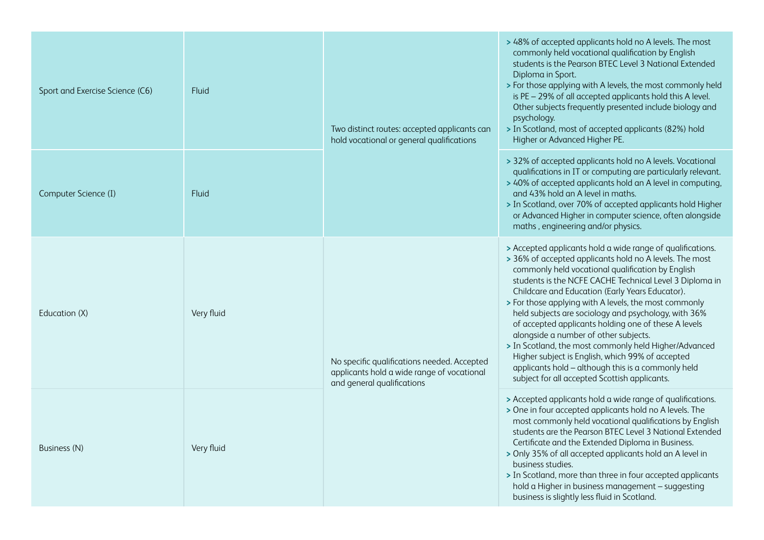| Sport and Exercise Science (C6) | Fluid      | Two distinct routes: accepted applicants can<br>hold vocational or general qualifications                               | > 48% of accepted applicants hold no A levels. The most<br>commonly held vocational qualification by English<br>students is the Pearson BTEC Level 3 National Extended<br>Diploma in Sport.<br>> For those applying with A levels, the most commonly held<br>is PE - 29% of all accepted applicants hold this A level.<br>Other subjects frequently presented include biology and<br>psychology.<br>> In Scotland, most of accepted applicants (82%) hold<br>Higher or Advanced Higher PE.                                                                                                                                                                                                                                     |
|---------------------------------|------------|-------------------------------------------------------------------------------------------------------------------------|--------------------------------------------------------------------------------------------------------------------------------------------------------------------------------------------------------------------------------------------------------------------------------------------------------------------------------------------------------------------------------------------------------------------------------------------------------------------------------------------------------------------------------------------------------------------------------------------------------------------------------------------------------------------------------------------------------------------------------|
| Computer Science (I)            | Fluid      |                                                                                                                         | > 32% of accepted applicants hold no A levels. Vocational<br>qualifications in IT or computing are particularly relevant.<br>> 40% of accepted applicants hold an A level in computing,<br>and 43% hold an A level in maths.<br>> In Scotland, over 70% of accepted applicants hold Higher<br>or Advanced Higher in computer science, often alongside<br>maths, engineering and/or physics.                                                                                                                                                                                                                                                                                                                                    |
| Education (X)                   | Very fluid | No specific qualifications needed. Accepted<br>applicants hold a wide range of vocational<br>and general qualifications | > Accepted applicants hold a wide range of qualifications.<br>> 36% of accepted applicants hold no A levels. The most<br>commonly held vocational qualification by English<br>students is the NCFE CACHE Technical Level 3 Diploma in<br>Childcare and Education (Early Years Educator).<br>> For those applying with A levels, the most commonly<br>held subjects are sociology and psychology, with 36%<br>of accepted applicants holding one of these A levels<br>alongside a number of other subjects.<br>> In Scotland, the most commonly held Higher/Advanced<br>Higher subject is English, which 99% of accepted<br>applicants hold - although this is a commonly held<br>subject for all accepted Scottish applicants. |
| Business (N)                    | Very fluid |                                                                                                                         | > Accepted applicants hold a wide range of qualifications.<br>> One in four accepted applicants hold no A levels. The<br>most commonly held vocational qualifications by English<br>students are the Pearson BTEC Level 3 National Extended<br>Certificate and the Extended Diploma in Business.<br>> Only 35% of all accepted applicants hold an A level in<br>business studies.<br>> In Scotland, more than three in four accepted applicants<br>hold a Higher in business management - suggesting<br>business is slightly less fluid in Scotland.                                                                                                                                                                           |